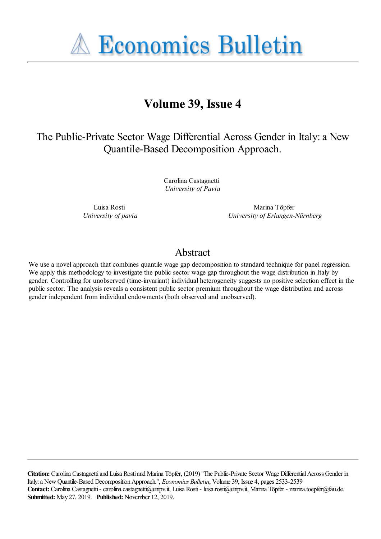**A Economics Bulletin** 

# **Volume 39, Issue 4**

## The Public-Private Sector Wage Differential Across Gender in Italy: a New Quantile-Based Decomposition Approach.

Carolina Castagnetti *University of Pavia*

Luisa Rosti *University of pavia*

Marina Töpfer *University of Erlangen-Nürnberg*

### Abstract

We use a novel approach that combines quantile wage gap decomposition to standard technique for panel regression. We apply this methodology to investigate the public sector wage gap throughout the wage distribution in Italy by gender. Controlling for unobserved (time-invariant) individual heterogeneity suggests no positive selection effect in the public sector. The analysis reveals a consistent public sector premium throughout the wage distribution and across gender independent from individual endowments (both observed and unobserved).

**Citation:** Carolina Castagnetti and Luisa Rosti and Marina Töpfer, (2019) ''The Public-Private Sector Wage Differential Across Gender in Italy: a New Quantile-Based Decomposition Approach.'', *Economics Bulletin*, Volume 39, Issue 4, pages 2533-2539 **Contact:** Carolina Castagnetti - carolina.castagnetti@unipv.it, Luisa Rosti - luisa.rosti@unipv.it, Marina Töpfer - marina.toepfer@fau.de. **Submitted:** May 27, 2019. **Published:** November 12, 2019.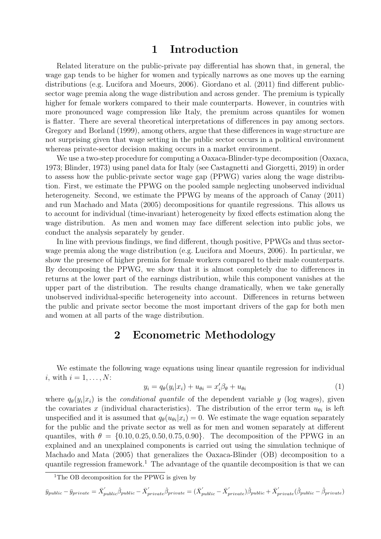### 1 Introduction

Related literature on the public-private pay differential has shown that, in general, the wage gap tends to be higher for women and typically narrows as one moves up the earning distributions (e.g. Lucifora and Moeurs, 2006). Giordano et al. (2011) find different publicsector wage premia along the wage distribution and across gender. The premium is typically higher for female workers compared to their male counterparts. However, in countries with more pronounced wage compression like Italy, the premium across quantiles for women is flatter. There are several theoretical interpretations of differences in pay among sectors. Gregory and Borland (1999), among others, argue that these differences in wage structure are not surprising given that wage setting in the public sector occurs in a political environment whereas private-sector decision making occurs in a market environment.

We use a two-step procedure for computing a Oaxaca-Blinder-type decomposition (Oaxaca, 1973; Blinder, 1973) using panel data for Italy (see Castagnetti and Giorgetti, 2019) in order to assess how the public-private sector wage gap (PPWG) varies along the wage distribution. First, we estimate the PPWG on the pooled sample neglecting unobserved individual heterogeneity. Second, we estimate the PPWG by means of the approach of Canay (2011) and run Machado and Mata (2005) decompositions for quantile regressions. This allows us to account for individual (time-invariant) heterogeneity by fixed effects estimation along the wage distribution. As men and women may face different selection into public jobs, we conduct the analysis separately by gender.

In line with previous findings, we find different, though positive, PPWGs and thus sectorwage premia along the wage distribution (e.g. Lucifora and Moeurs, 2006). In particular, we show the presence of higher premia for female workers compared to their male counterparts. By decomposing the PPWG, we show that it is almost completely due to differences in returns at the lower part of the earnings distribution, while this component vanishes at the upper part of the distribution. The results change dramatically, when we take generally unobserved individual-specific heterogeneity into account. Differences in returns between the public and private sector become the most important drivers of the gap for both men and women at all parts of the wage distribution.

### 2 Econometric Methodology

We estimate the following wage equations using linear quantile regression for individual i, with  $i = 1, \ldots, N$ :

$$
y_i = q_{\theta}(y_i|x_i) + u_{\theta i} = x_i'\beta_{\theta} + u_{\theta i}
$$
\n<sup>(1)</sup>

where  $q_{\theta}(y_i|x_i)$  is the *conditional quantile* of the dependent variable y (log wages), given the covariates x (individual characteristics). The distribution of the error term  $u_{\theta i}$  is left unspecified and it is assumed that  $q_{\theta}(u_{\theta i}|x_i) = 0$ . We estimate the wage equation separately for the public and the private sector as well as for men and women separately at different quantiles, with  $\theta = \{0.10, 0.25, 0.50, 0.75, 0.90\}$ . The decomposition of the PPWG in an explained and an unexplained components is carried out using the simulation technique of Machado and Mata (2005) that generalizes the Oaxaca-Blinder (OB) decomposition to a quantile regression framework.<sup>1</sup> The advantage of the quantile decomposition is that we can

<sup>&</sup>lt;sup>1</sup>The OB decomposition for the PPWG is given by

 $\bar{y}_{public} - \bar{y}_{private} = \bar{X}_{public}'\hat{\beta}_{public} - \bar{X}_{private}'\hat{\beta}_{private} = (\bar{X}_{public}' - \bar{X}_{private}')\hat{\beta}_{public} + \bar{X}_{private}'(\hat{\beta}_{public} - \hat{\beta}_{private})$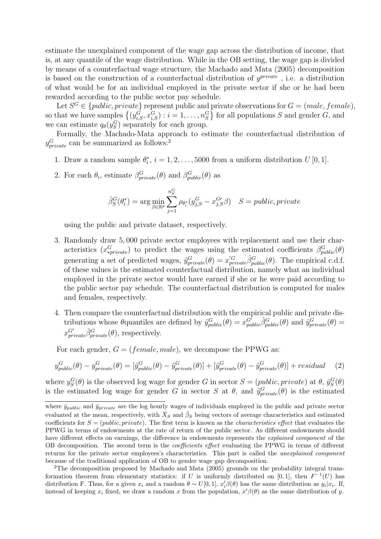estimate the unexplained component of the wage gap across the distribution of income, that is, at any quantile of the wage distribution. While in the OB setting, the wage gap is divided by means of a counterfactual wage structure, the Machado and Mata (2005) decomposition is based on the construction of a counterfactual distribution of  $y^{private}$ , i.e. a distribution of what would be for an individual employed in the private sector if she or he had been rewarded according to the public sector pay schedule.

Let  $S^G \in \{public, private\}$  represent public and private observations for  $G = (male, female),$ so that we have samples  $\{(y_{i,S}^G, x_{i,S}^G) : i = 1, \ldots, n_S^G\}$  for all populations S and gender G, and we can estimate  $q_{\theta}(y_S^G)$  separately for each group.

Formally, the Machado-Mata approach to estimate the counterfactual distribution of  $y_{private}^{G}$  can be summarized as follows:<sup>2</sup>

- 1. Draw a random sample  $\theta_i^*$  $i, i = 1, 2, \ldots, 5000$  from a uniform distribution  $U[0, 1]$ .
- 2. For each  $\theta_i$ , estimate  $\beta_{private}^G(\theta)$  and  $\beta_{public}^G(\theta)$  as

$$
\hat{\beta}_S^G(\theta_i^*) = \arg\min_{\beta \in \mathbb{R}^p} \sum_{j=1}^{n_S^G} \rho_{\theta_i^*}(y_{j,S}^G - x_{j,S}^{G\prime}\beta) \quad S = public, private
$$

using the public and private dataset, respectively.

- 3. Randomly draw 5, 000 private sector employees with replacement and use their characteristics  $(x_{\text{sprivate}}^G)$  to predict the wages using the estimated coefficients  $\beta_{\text{public}}^G(\theta)$ generating a set of predicted wages,  $\tilde{y}_{private}^G(\theta) = x'_{private}^G \hat{\beta}_{public}^G(\theta)$ . The empirical c.d.f. of these values is the estimated counterfactual distribution, namely what an individual employed in the private sector would have earned if she or he were paid according to the public sector pay schedule. The counterfactual distribution is computed for males and females, respectively.
- 4. Then compare the counterfactual distribution with the empirical public and private distributions whose  $\theta$  quantiles are defined by  $\hat{y}_{public}^{G}(\theta) = x_{public}^{G'}\hat{\beta}_{public}^{G'}(\theta)$  and  $\hat{y}_{private}^{G}(\theta) =$  $x_{private}^{G'}\hat{\beta}_{private}^{G}(\theta)$ , respectively.

For each gender,  $G = (female, male)$ , we decompose the PPWG as:

$$
y_{public}^{G}(\theta) - y_{private}^{G}(\theta) = [\hat{y}_{public}^{G}(\theta) - \tilde{y}_{private}^{G}(\theta)] + [\tilde{y}_{private}^{G}(\theta) - \hat{y}_{private}^{G}(\theta)] + residual \quad (2)
$$

where  $y_S^G(\theta)$  is the observed log wage for gender G in sector  $S = (public, private)$  at  $\theta$ ,  $\hat{y}_S^G(\theta)$ is the estimated log wage for gender G in sector S at  $\theta$ , and  $\tilde{y}_{private}^G(\theta)$  is the estimated

where  $\bar{y}_{public}$  and  $\bar{y}_{private}$  are the log hourly wages of individuals employed in the public and private sector evaluated at the mean, respectively, with  $\bar{X}_S$  and  $\hat{\beta}_S$  being vectors of average characteristics and estimated coefficients for  $S = (public, private)$ . The first term is known as the *characteristics effect* that evaluates the PPWG in terms of endowments at the rate of return of the public sector. As different endowments should have different effects on earnings, the difference in endowments represents the *explained component* of the OB decomposition. The second term is the coefficients effect evaluating the PPWG in terms of different returns for the private sector employees's characteristics. This part is called the unexplained component because of the traditional application of OB to gender wage gap decomposition.

<sup>2</sup>The decomposition proposed by Machado and Mata (2005) grounds on the probability integral transformation theorem from elementary statistics: if U is uniformly distributed on [0, 1], then  $F^{-1}(U)$  has distribution F. Thus, for a given  $x_i$  and a random  $\theta \sim U[0,1]$ ,  $x'_i \beta(\theta)$  has the same distribution as  $y_i | x_i$ . If, instead of keeping  $x_i$  fixed, we draw a random x from the population,  $x'\beta(\theta)$  as the same distribution of y.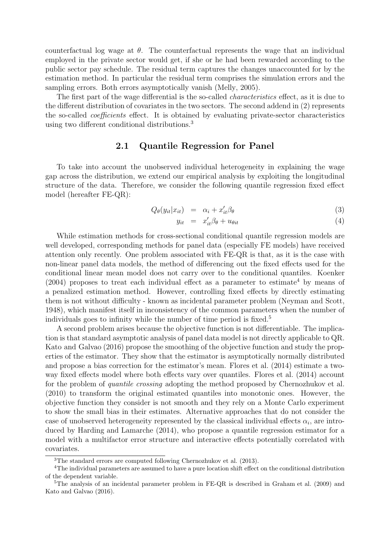counterfactual log wage at  $\theta$ . The counterfactual represents the wage that an individual employed in the private sector would get, if she or he had been rewarded according to the public sector pay schedule. The residual term captures the changes unaccounted for by the estimation method. In particular the residual term comprises the simulation errors and the sampling errors. Both errors asymptotically vanish (Melly, 2005).

The first part of the wage differential is the so-called *characteristics* effect, as it is due to the different distribution of covariates in the two sectors. The second addend in (2) represents the so-called coefficients effect. It is obtained by evaluating private-sector characteristics using two different conditional distributions.<sup>3</sup>

#### 2.1 Quantile Regression for Panel

To take into account the unobserved individual heterogeneity in explaining the wage gap across the distribution, we extend our empirical analysis by exploiting the longitudinal structure of the data. Therefore, we consider the following quantile regression fixed effect model (hereafter FE-QR):

$$
Q_{\theta}(y_{it}|x_{it}) = \alpha_i + x_{it}'\beta_{\theta} \tag{3}
$$

$$
y_{it} = x'_{it}\beta_{\theta} + u_{\theta it} \tag{4}
$$

While estimation methods for cross-sectional conditional quantile regression models are well developed, corresponding methods for panel data (especially FE models) have received attention only recently. One problem associated with FE-QR is that, as it is the case with non-linear panel data models, the method of differencing out the fixed effects used for the conditional linear mean model does not carry over to the conditional quantiles. Koenker  $(2004)$  proposes to treat each individual effect as a parameter to estimate<sup>4</sup> by means of a penalized estimation method. However, controlling fixed effects by directly estimating them is not without difficulty - known as incidental parameter problem (Neyman and Scott, 1948), which manifest itself in inconsistency of the common parameters when the number of individuals goes to infinity while the number of time period is fixed.<sup>5</sup>

A second problem arises because the objective function is not differentiable. The implication is that standard asymptotic analysis of panel data model is not directly applicable to QR. Kato and Galvao (2016) propose the smoothing of the objective function and study the properties of the estimator. They show that the estimator is asymptotically normally distributed and propose a bias correction for the estimator's mean. Flores et al. (2014) estimate a twoway fixed effects model where both effects vary over quantiles. Flores et al. (2014) account for the problem of quantile crossing adopting the method proposed by Chernozhukov et al. (2010) to transform the original estimated quantiles into monotonic ones. However, the objective function they consider is not smooth and they rely on a Monte Carlo experiment to show the small bias in their estimates. Alternative approaches that do not consider the case of unobserved heterogeneity represented by the classical individual effects  $\alpha_i$ , are introduced by Harding and Lamarche (2014), who propose a quantile regression estimator for a model with a multifactor error structure and interactive effects potentially correlated with covariates.

<sup>3</sup>The standard errors are computed following Chernozhukov et al. (2013).

<sup>4</sup>The individual parameters are assumed to have a pure location shift effect on the conditional distribution of the dependent variable.

<sup>5</sup>The analysis of an incidental parameter problem in FE-QR is described in Graham et al. (2009) and Kato and Galvao (2016).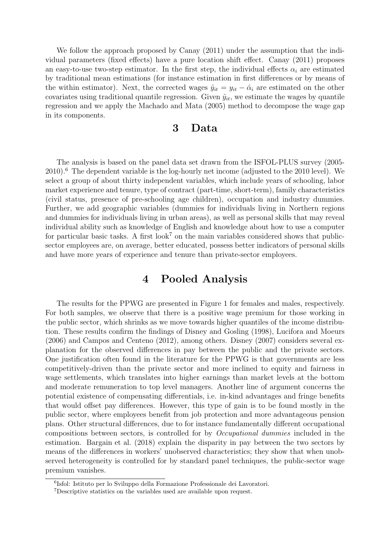We follow the approach proposed by Canay  $(2011)$  under the assumption that the individual parameters (fixed effects) have a pure location shift effect. Canay (2011) proposes an easy-to-use two-step estimator. In the first step, the individual effects  $\alpha_i$  are estimated by traditional mean estimations (for instance estimation in first differences or by means of the within estimator). Next, the corrected wages  $\hat{y}_{it} = y_{it} - \hat{\alpha}_i$  are estimated on the other covariates using traditional quantile regression. Given  $\hat{y}_{it}$ , we estimate the wages by quantile regression and we apply the Machado and Mata (2005) method to decompose the wage gap in its components.

### 3 Data

The analysis is based on the panel data set drawn from the ISFOL-PLUS survey (2005- 2010).<sup>6</sup> The dependent variable is the log-hourly net income (adjusted to the 2010 level). We select a group of about thirty independent variables, which include years of schooling, labor market experience and tenure, type of contract (part-time, short-term), family characteristics (civil status, presence of pre-schooling age children), occupation and industry dummies. Further, we add geographic variables (dummies for individuals living in Northern regions and dummies for individuals living in urban areas), as well as personal skills that may reveal individual ability such as knowledge of English and knowledge about how to use a computer for particular basic tasks. A first look<sup>7</sup> on the main variables considered shows that publicsector employees are, on average, better educated, possess better indicators of personal skills and have more years of experience and tenure than private-sector employees.

## 4 Pooled Analysis

The results for the PPWG are presented in Figure 1 for females and males, respectively. For both samples, we observe that there is a positive wage premium for those working in the public sector, which shrinks as we move towards higher quantiles of the income distribution. These results confirm the findings of Disney and Gosling (1998), Lucifora and Moeurs (2006) and Campos and Centeno (2012), among others. Disney (2007) considers several explanation for the observed differences in pay between the public and the private sectors. One justification often found in the literature for the PPWG is that governments are less competitively-driven than the private sector and more inclined to equity and fairness in wage settlements, which translates into higher earnings than market levels at the bottom and moderate remuneration to top level managers. Another line of argument concerns the potential existence of compensating differentials, i.e. in-kind advantages and fringe benefits that would offset pay differences. However, this type of gain is to be found mostly in the public sector, where employees benefit from job protection and more advantageous pension plans. Other structural differences, due to for instance fundamentally different occupational compositions between sectors, is controlled for by Occupational dummies included in the estimation. Bargain et al. (2018) explain the disparity in pay between the two sectors by means of the differences in workers' unobserved characteristics; they show that when unobserved heterogeneity is controlled for by standard panel techniques, the public-sector wage premium vanishes.

<sup>6</sup> Isfol: Istituto per lo Sviluppo della Formazione Professionale dei Lavoratori.

<sup>7</sup>Descriptive statistics on the variables used are available upon request.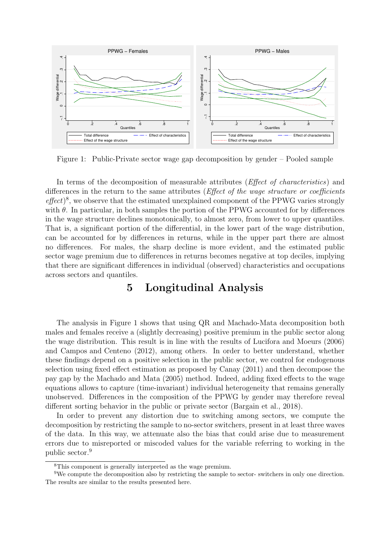

Figure 1: Public-Private sector wage gap decomposition by gender – Pooled sample

In terms of the decomposition of measurable attributes (*Effect of characteristics*) and differences in the return to the same attributes (*Effect of the wage structure or coefficients* effect)<sup>8</sup>, we observe that the estimated unexplained component of the PPWG varies strongly with  $\theta$ . In particular, in both samples the portion of the PPWG accounted for by differences in the wage structure declines monotonically, to almost zero, from lower to upper quantiles. That is, a significant portion of the differential, in the lower part of the wage distribution, can be accounted for by differences in returns, while in the upper part there are almost no differences. For males, the sharp decline is more evident, and the estimated public sector wage premium due to differences in returns becomes negative at top deciles, implying that there are significant differences in individual (observed) characteristics and occupations across sectors and quantiles.

### 5 Longitudinal Analysis

The analysis in Figure 1 shows that using QR and Machado-Mata decomposition both males and females receive a (slightly decreasing) positive premium in the public sector along the wage distribution. This result is in line with the results of Lucifora and Moeurs (2006) and Campos and Centeno (2012), among others. In order to better understand, whether these findings depend on a positive selection in the public sector, we control for endogenous selection using fixed effect estimation as proposed by Canay (2011) and then decompose the pay gap by the Machado and Mata (2005) method. Indeed, adding fixed effects to the wage equations allows to capture (time-invariant) individual heterogeneity that remains generally unobserved. Differences in the composition of the PPWG by gender may therefore reveal different sorting behavior in the public or private sector (Bargain et al., 2018).

In order to prevent any distortion due to switching among sectors, we compute the decomposition by restricting the sample to no-sector switchers, present in at least three waves of the data. In this way, we attenuate also the bias that could arise due to measurement errors due to misreported or miscoded values for the variable referring to working in the public sector.<sup>9</sup>

<sup>8</sup>This component is generally interpreted as the wage premium.

<sup>9</sup>We compute the decomposition also by restricting the sample to sector- switchers in only one direction. The results are similar to the results presented here.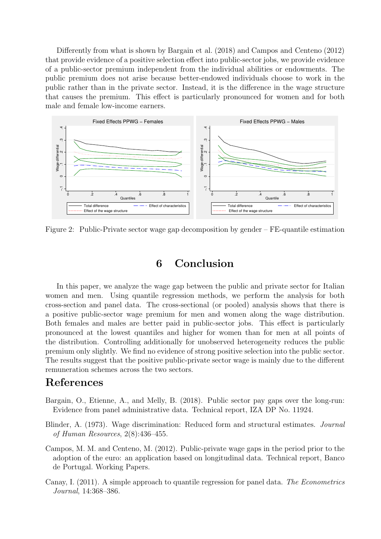Differently from what is shown by Bargain et al. (2018) and Campos and Centeno (2012) that provide evidence of a positive selection effect into public-sector jobs, we provide evidence of a public-sector premium independent from the individual abilities or endowments. The public premium does not arise because better-endowed individuals choose to work in the public rather than in the private sector. Instead, it is the difference in the wage structure that causes the premium. This effect is particularly pronounced for women and for both male and female low-income earners.



Figure 2: Public-Private sector wage gap decomposition by gender – FE-quantile estimation

### 6 Conclusion

In this paper, we analyze the wage gap between the public and private sector for Italian women and men. Using quantile regression methods, we perform the analysis for both cross-section and panel data. The cross-sectional (or pooled) analysis shows that there is a positive public-sector wage premium for men and women along the wage distribution. Both females and males are better paid in public-sector jobs. This effect is particularly pronounced at the lowest quantiles and higher for women than for men at all points of the distribution. Controlling additionally for unobserved heterogeneity reduces the public premium only slightly. We find no evidence of strong positive selection into the public sector. The results suggest that the positive public-private sector wage is mainly due to the different remuneration schemes across the two sectors.

### References

- Bargain, O., Etienne, A., and Melly, B. (2018). Public sector pay gaps over the long-run: Evidence from panel administrative data. Technical report, IZA DP No. 11924.
- Blinder, A. (1973). Wage discrimination: Reduced form and structural estimates. Journal of Human Resources, 2(8):436–455.
- Campos, M. M. and Centeno, M. (2012). Public-private wage gaps in the period prior to the adoption of the euro: an application based on longitudinal data. Technical report, Banco de Portugal. Working Papers.
- Canay, I. (2011). A simple approach to quantile regression for panel data. The Econometrics Journal, 14:368–386.